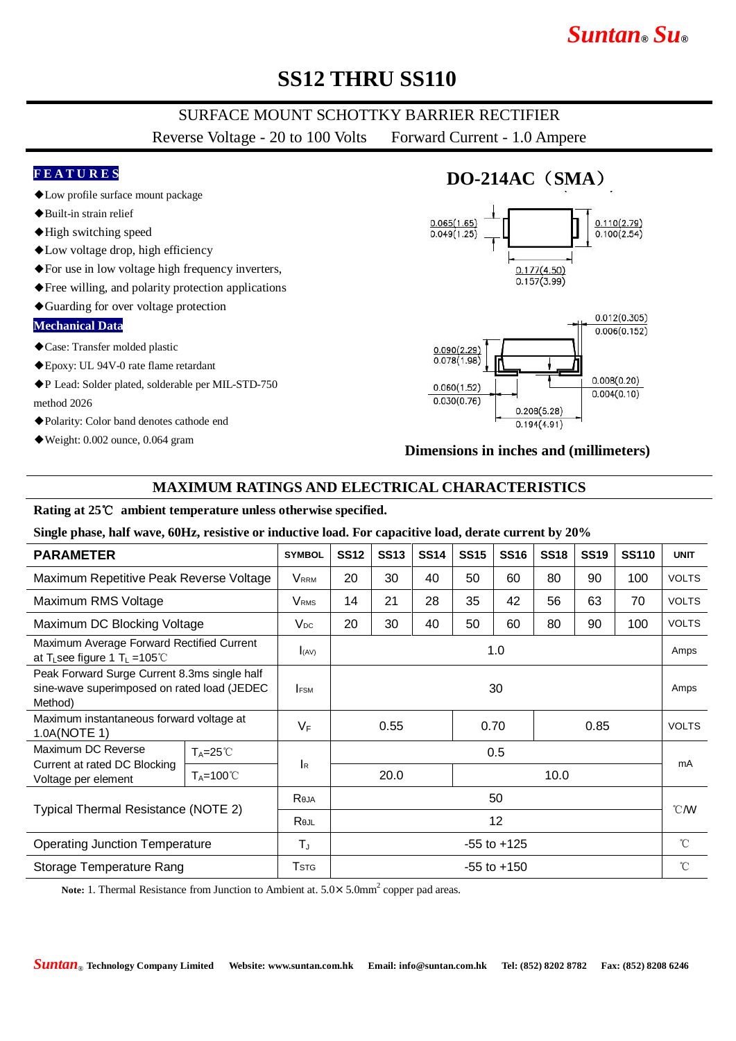# *Suntan***®** *Su***®**

## **SS12 THRU SS110**

## SURFACE MOUNT SCHOTTKY BARRIER RECTIFIER

Reverse Voltage - 20 to 100 Volts Forward Current - 1.0 Ampere

### **F E A T U R E S**

- ◆Low profile surface mount package
- ◆Built-in strain relief
- ◆High switching speed
- ◆Low voltage drop, high efficiency
- ◆For use in low voltage high frequency inverters,
- ◆Free willing, and polarity protection applications
- ◆Guarding for over voltage protection

#### **Mechanical Data**

- ◆Case: Transfer molded plastic
- ◆Epoxy: UL 94V-0 rate flame retardant
- ◆P Lead: Solder plated, solderable per MIL-STD-750 method 2026
- ◆Polarity: Color band denotes cathode end
- ◆Weight: 0.002 ounce, 0.064 gram

## **DO-214AC**(**SMA**)





### **Dimensions in inches and (millimeters)**

### **MAXIMUM RATINGS AND ELECTRICAL CHARACTERISTICS**

#### **Rating at 25**℃ **ambient temperature unless otherwise specified.**

#### **Single phase, half wave, 60Hz, resistive or inductive load. For capacitive load, derate current by 20%**

| <b>PARAMETER</b>                                                                                                |                      | <b>SYMBOL</b>             | <b>SS12</b>          | <b>SS13</b> | <b>SS14</b> | <b>SS15</b> | <b>SS16</b> | <b>SS18</b> | <b>SS19</b>  | <b>SS110</b> | <b>UNIT</b>      |
|-----------------------------------------------------------------------------------------------------------------|----------------------|---------------------------|----------------------|-------------|-------------|-------------|-------------|-------------|--------------|--------------|------------------|
| Maximum Repetitive Peak Reverse Voltage                                                                         |                      | <b>V</b> rrm              | 20                   | 30          | 40          | 50          | 60          | 80          | 90           | 100          | <b>VOLTS</b>     |
| Maximum RMS Voltage                                                                                             |                      | <b>V</b> <sub>RMS</sub>   | 14                   | 21          | 28          | 35          | 42          | 56          | 63           | 70           | <b>VOLTS</b>     |
| Maximum DC Blocking Voltage                                                                                     |                      | $V_{DC}$                  | 20                   | 30          | 40          | 50          | 60          | 80          | 90           | 100          | <b>VOLTS</b>     |
| Maximum Average Forward Rectified Current<br>at T <sub>L</sub> see figure 1 T <sub>L</sub> = 105 <sup>°</sup> C |                      | I(AV)                     | 1.0                  |             |             |             |             |             |              |              | Amps             |
| Peak Forward Surge Current 8.3ms single half<br>sine-wave superimposed on rated load (JEDEC<br>Method)          |                      | <b>IFSM</b>               | 30                   |             |             |             |             |             |              |              | Amps             |
| Maximum instantaneous forward voltage at<br>1.0A(NOTE 1)                                                        |                      | $V_F$                     | 0.55<br>0.70<br>0.85 |             |             |             |             |             | <b>VOLTS</b> |              |                  |
| Maximum DC Reverse<br>Current at rated DC Blocking<br>Voltage per element                                       | $T_A = 25^{\circ}$   | $\mathsf{I}_{\mathsf{R}}$ | 0.5                  |             |             |             |             |             |              |              |                  |
|                                                                                                                 | $T_A = 100^{\circ}C$ |                           |                      | 20.0        |             |             |             | 10.0        |              |              | mA               |
| Typical Thermal Resistance (NOTE 2)                                                                             |                      | Reja                      | 50                   |             |             |             |             |             |              |              | $\mathcal{C}$ MV |
|                                                                                                                 |                      | Rejl                      | 12                   |             |             |             |             |             |              |              |                  |
| <b>Operating Junction Temperature</b>                                                                           |                      | $T_{\rm J}$               | $-55$ to $+125$      |             |             |             |             |             |              |              | $^{\circ}C$      |
| Storage Temperature Rang                                                                                        |                      | <b>T</b> stg              | $-55$ to $+150$      |             |             |             |             |             |              |              | $^{\circ}$ C     |

Note: 1. Thermal Resistance from Junction to Ambient at.  $5.0 \times 5.0$ mm<sup>2</sup> copper pad areas.